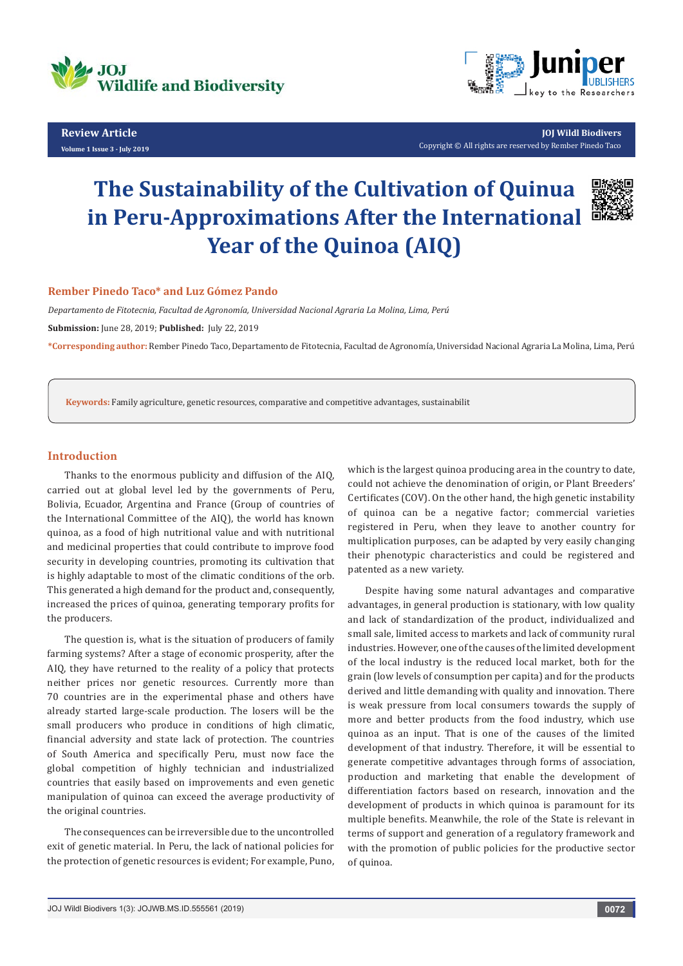

**Review Article Volume 1 Issue 3 - July 2019**



**JOJ Wildl Biodivers** Copyright © All rights are reserved by Rember Pinedo Taco

# **The Sustainability of the Cultivation of Quinua in Peru-Approximations After the International Year of the Quinoa (AIQ)**



### **Rember Pinedo Taco\* and Luz Gómez Pando**

*Departamento de Fitotecnia, Facultad de Agronomía, Universidad Nacional Agraria La Molina, Lima, Perú*

**Submission:** June 28, 2019; **Published:** July 22, 2019

**\*Corresponding author:** Rember Pinedo Taco, Departamento de Fitotecnia, Facultad de Agronomía, Universidad Nacional Agraria La Molina, Lima, Perú

**Keywords:** Family agriculture, genetic resources, comparative and competitive advantages, sustainabilit

### **Introduction**

Thanks to the enormous publicity and diffusion of the AIQ, carried out at global level led by the governments of Peru, Bolivia, Ecuador, Argentina and France (Group of countries of the International Committee of the AIQ), the world has known quinoa, as a food of high nutritional value and with nutritional and medicinal properties that could contribute to improve food security in developing countries, promoting its cultivation that is highly adaptable to most of the climatic conditions of the orb. This generated a high demand for the product and, consequently, increased the prices of quinoa, generating temporary profits for the producers.

The question is, what is the situation of producers of family farming systems? After a stage of economic prosperity, after the AIQ, they have returned to the reality of a policy that protects neither prices nor genetic resources. Currently more than 70 countries are in the experimental phase and others have already started large-scale production. The losers will be the small producers who produce in conditions of high climatic, financial adversity and state lack of protection. The countries of South America and specifically Peru, must now face the global competition of highly technician and industrialized countries that easily based on improvements and even genetic manipulation of quinoa can exceed the average productivity of the original countries.

The consequences can be irreversible due to the uncontrolled exit of genetic material. In Peru, the lack of national policies for the protection of genetic resources is evident; For example, Puno, which is the largest quinoa producing area in the country to date, could not achieve the denomination of origin, or Plant Breeders' Certificates (COV). On the other hand, the high genetic instability of quinoa can be a negative factor; commercial varieties registered in Peru, when they leave to another country for multiplication purposes, can be adapted by very easily changing their phenotypic characteristics and could be registered and patented as a new variety.

Despite having some natural advantages and comparative advantages, in general production is stationary, with low quality and lack of standardization of the product, individualized and small sale, limited access to markets and lack of community rural industries. However, one of the causes of the limited development of the local industry is the reduced local market, both for the grain (low levels of consumption per capita) and for the products derived and little demanding with quality and innovation. There is weak pressure from local consumers towards the supply of more and better products from the food industry, which use quinoa as an input. That is one of the causes of the limited development of that industry. Therefore, it will be essential to generate competitive advantages through forms of association, production and marketing that enable the development of differentiation factors based on research, innovation and the development of products in which quinoa is paramount for its multiple benefits. Meanwhile, the role of the State is relevant in terms of support and generation of a regulatory framework and with the promotion of public policies for the productive sector of quinoa.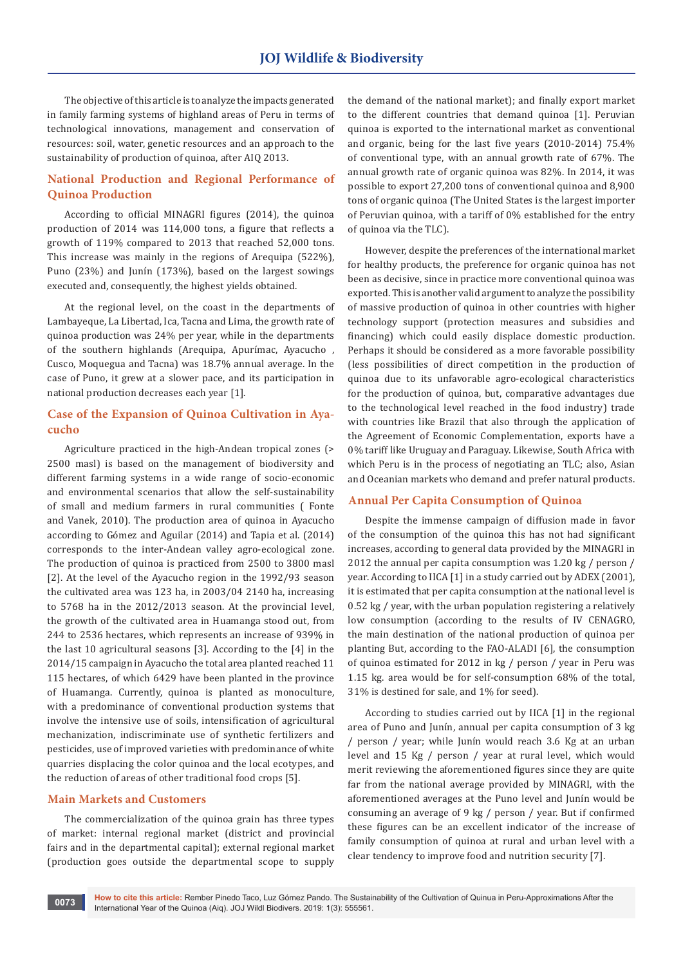The objective of this article is to analyze the impacts generated in family farming systems of highland areas of Peru in terms of technological innovations, management and conservation of resources: soil, water, genetic resources and an approach to the sustainability of production of quinoa, after AIQ 2013.

## **National Production and Regional Performance of Quinoa Production**

According to official MINAGRI figures (2014), the quinoa production of 2014 was 114,000 tons, a figure that reflects a growth of 119% compared to 2013 that reached 52,000 tons. This increase was mainly in the regions of Arequipa (522%), Puno (23%) and Junín (173%), based on the largest sowings executed and, consequently, the highest yields obtained.

At the regional level, on the coast in the departments of Lambayeque, La Libertad, Ica, Tacna and Lima, the growth rate of quinoa production was 24% per year, while in the departments of the southern highlands (Arequipa, Apurímac, Ayacucho , Cusco, Moquegua and Tacna) was 18.7% annual average. In the case of Puno, it grew at a slower pace, and its participation in national production decreases each year [1].

## **Case of the Expansion of Quinoa Cultivation in Ayacucho**

Agriculture practiced in the high-Andean tropical zones (> 2500 masl) is based on the management of biodiversity and different farming systems in a wide range of socio-economic and environmental scenarios that allow the self-sustainability of small and medium farmers in rural communities ( Fonte and Vanek, 2010). The production area of quinoa in Ayacucho according to Gómez and Aguilar (2014) and Tapia et al. (2014) corresponds to the inter-Andean valley agro-ecological zone. The production of quinoa is practiced from 2500 to 3800 masl [2]. At the level of the Ayacucho region in the 1992/93 season the cultivated area was 123 ha, in 2003/04 2140 ha, increasing to 5768 ha in the 2012/2013 season. At the provincial level, the growth of the cultivated area in Huamanga stood out, from 244 to 2536 hectares, which represents an increase of 939% in the last 10 agricultural seasons [3]. According to the [4] in the 2014/15 campaign in Ayacucho the total area planted reached 11 115 hectares, of which 6429 have been planted in the province of Huamanga. Currently, quinoa is planted as monoculture, with a predominance of conventional production systems that involve the intensive use of soils, intensification of agricultural mechanization, indiscriminate use of synthetic fertilizers and pesticides, use of improved varieties with predominance of white quarries displacing the color quinoa and the local ecotypes, and the reduction of areas of other traditional food crops [5].

## **Main Markets and Customers**

The commercialization of the quinoa grain has three types of market: internal regional market (district and provincial fairs and in the departmental capital); external regional market (production goes outside the departmental scope to supply

the demand of the national market); and finally export market to the different countries that demand quinoa [1]. Peruvian quinoa is exported to the international market as conventional and organic, being for the last five years (2010-2014) 75.4% of conventional type, with an annual growth rate of 67%. The annual growth rate of organic quinoa was 82%. In 2014, it was possible to export 27,200 tons of conventional quinoa and 8,900 tons of organic quinoa (The United States is the largest importer of Peruvian quinoa, with a tariff of 0% established for the entry of quinoa via the TLC).

However, despite the preferences of the international market for healthy products, the preference for organic quinoa has not been as decisive, since in practice more conventional quinoa was exported. This is another valid argument to analyze the possibility of massive production of quinoa in other countries with higher technology support (protection measures and subsidies and financing) which could easily displace domestic production. Perhaps it should be considered as a more favorable possibility (less possibilities of direct competition in the production of quinoa due to its unfavorable agro-ecological characteristics for the production of quinoa, but, comparative advantages due to the technological level reached in the food industry) trade with countries like Brazil that also through the application of the Agreement of Economic Complementation, exports have a 0% tariff like Uruguay and Paraguay. Likewise, South Africa with which Peru is in the process of negotiating an TLC; also, Asian and Oceanian markets who demand and prefer natural products.

## **Annual Per Capita Consumption of Quinoa**

Despite the immense campaign of diffusion made in favor of the consumption of the quinoa this has not had significant increases, according to general data provided by the MINAGRI in 2012 the annual per capita consumption was 1.20 kg / person / year. According to IICA [1] in a study carried out by ADEX (2001), it is estimated that per capita consumption at the national level is 0.52 kg / year, with the urban population registering a relatively low consumption (according to the results of IV CENAGRO, the main destination of the national production of quinoa per planting But, according to the FAO-ALADI [6], the consumption of quinoa estimated for 2012 in kg / person / year in Peru was 1.15 kg. area would be for self-consumption 68% of the total, 31% is destined for sale, and 1% for seed).

According to studies carried out by IICA [1] in the regional area of Puno and Junín, annual per capita consumption of 3 kg / person / year; while Junín would reach 3.6 Kg at an urban level and 15 Kg / person / year at rural level, which would merit reviewing the aforementioned figures since they are quite far from the national average provided by MINAGRI, with the aforementioned averages at the Puno level and Junín would be consuming an average of 9 kg / person / year. But if confirmed these figures can be an excellent indicator of the increase of family consumption of quinoa at rural and urban level with a clear tendency to improve food and nutrition security [7].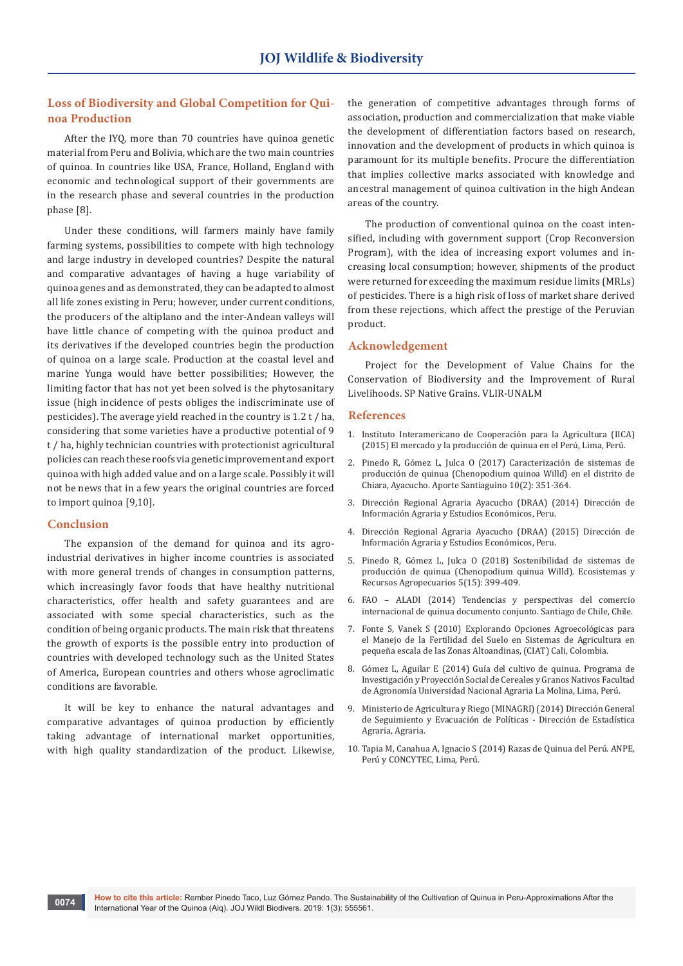## **Loss of Biodiversity and Global Competition for Quinoa Production**

After the IYQ, more than 70 countries have quinoa genetic material from Peru and Bolivia, which are the two main countries of quinoa. In countries like USA, France, Holland, England with economic and technological support of their governments are in the research phase and several countries in the production phase [8].

Under these conditions, will farmers mainly have family farming systems, possibilities to compete with high technology and large industry in developed countries? Despite the natural and comparative advantages of having a huge variability of quinoa genes and as demonstrated, they can be adapted to almost all life zones existing in Peru; however, under current conditions, the producers of the altiplano and the inter-Andean valleys will have little chance of competing with the quinoa product and its derivatives if the developed countries begin the production of quinoa on a large scale. Production at the coastal level and marine Yunga would have better possibilities; However, the limiting factor that has not yet been solved is the phytosanitary issue (high incidence of pests obliges the indiscriminate use of pesticides). The average yield reached in the country is 1.2 t / ha, considering that some varieties have a productive potential of 9 t / ha, highly technician countries with protectionist agricultural policies can reach these roofs via genetic improvement and export quinoa with high added value and on a large scale. Possibly it will not be news that in a few years the original countries are forced to import quinoa [9,10].

### **Conclusion**

The expansion of the demand for quinoa and its agroindustrial derivatives in higher income countries is associated with more general trends of changes in consumption patterns, which increasingly favor foods that have healthy nutritional characteristics, offer health and safety guarantees and are associated with some special characteristics, such as the condition of being organic products. The main risk that threatens the growth of exports is the possible entry into production of countries with developed technology such as the United States of America, European countries and others whose agroclimatic conditions are favorable.

It will be key to enhance the natural advantages and comparative advantages of quinoa production by efficiently taking advantage of international market opportunities, with high quality standardization of the product. Likewise,

the generation of competitive advantages through forms of association, production and commercialization that make viable the development of differentiation factors based on research, innovation and the development of products in which quinoa is paramount for its multiple benefits. Procure the differentiation that implies collective marks associated with knowledge and ancestral management of quinoa cultivation in the high Andean areas of the country.

The production of conventional quinoa on the coast intensified, including with government support (Crop Reconversion Program), with the idea of increasing export volumes and increasing local consumption; however, shipments of the product were returned for exceeding the maximum residue limits (MRLs) of pesticides. There is a high risk of loss of market share derived from these rejections, which affect the prestige of the Peruvian product.

#### **Acknowledgement**

Project for the Development of Value Chains for the Conservation of Biodiversity and the Improvement of Rural Livelihoods. SP Native Grains. VLIR-UNALM

#### **References**

- 1. Instituto Interamericano de Cooperación para la Agricultura (IICA) (2015) El mercado y la producción de quinua en el Perú, Lima, Perú.
- 2. Pinedo R, Gómez L, Julca O (2017) Caracterización de sistemas de producción de quinua (Chenopodium quinoa Willd) en el distrito de Chiara, Ayacucho. Aporte Santiaguino 10(2): 351-364.
- 3. Dirección Regional Agraria Ayacucho (DRAA) (2014) Dirección de Información Agraria y Estudios Económicos, Peru.
- 4. Dirección Regional Agraria Ayacucho (DRAA) (2015) Dirección de Información Agraria y Estudios Económicos, Peru.
- 5. [Pinedo R, Gómez L, Julca O \(2018\) Sostenibilidad de sistemas de](http://www.scielo.org.mx/scielo.php?script=sci_abstract&pid=S2007-90282018000300399&lng=es&nrm=iso&tlng=en)  [producción de quinua \(Chenopodium quinua Willd\). Ecosistemas y](http://www.scielo.org.mx/scielo.php?script=sci_abstract&pid=S2007-90282018000300399&lng=es&nrm=iso&tlng=en)  [Recursos Agropecuarios 5\(15\): 399-409.](http://www.scielo.org.mx/scielo.php?script=sci_abstract&pid=S2007-90282018000300399&lng=es&nrm=iso&tlng=en)
- 6. FAO ALADI (2014) Tendencias y perspectivas del comercio internacional de quinua documento conjunto. Santiago de Chile, Chile.
- 7. Fonte S, Vanek S (2010) Explorando Opciones Agroecológicas para el Manejo de la Fertilidad del Suelo en Sistemas de Agricultura en pequeña escala de las Zonas Altoandinas, (CIAT) Cali, Colombia.
- 8. Gómez L, Aguilar E (2014) Guía del cultivo de quinua. Programa de Investigación y Proyección Social de Cereales y Granos Nativos Facultad de Agronomía Universidad Nacional Agraria La Molina, Lima, Perú.
- 9. Ministerio de Agricultura y Riego (MINAGRI) (2014) Dirección General de Seguimiento y Evacuación de Políticas - Dirección de Estadística Agraria, Agraria.
- 10. Tapia M, Canahua A, Ignacio S (2014) Razas de Quinua del Perú. ANPE, Perú y CONCYTEC, Lima, Perú.